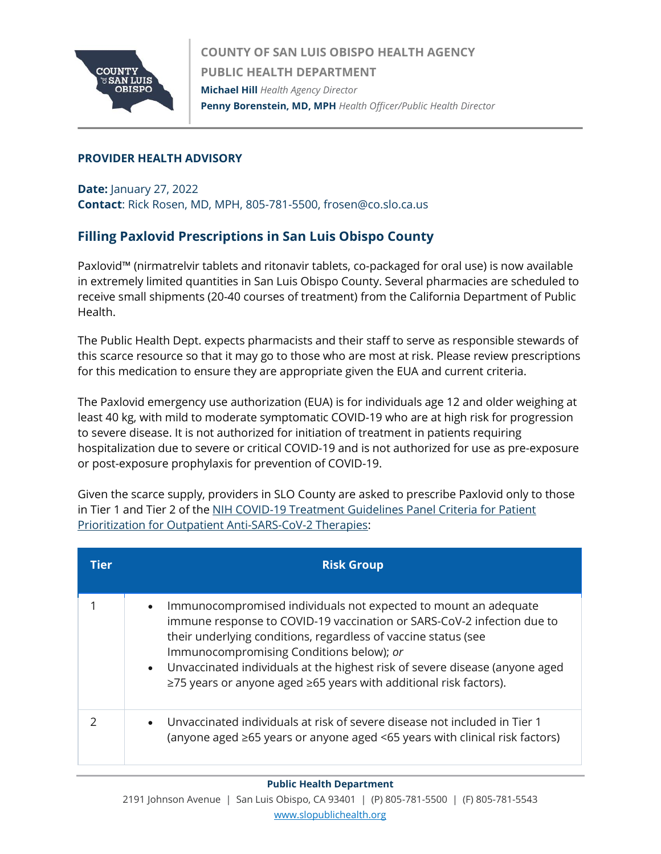

## **PROVIDER HEALTH ADVISORY**

**Date:** January 27, 2022 **Contact**: Rick Rosen, MD, MPH, 805-781-5500, frosen@co.slo.ca.us

## **Filling Paxlovid Prescriptions in San Luis Obispo County**

Paxlovid™ (nirmatrelvir tablets and ritonavir tablets, co-packaged for oral use) is now available in extremely limited quantities in San Luis Obispo County. Several pharmacies are scheduled to receive small shipments (20-40 courses of treatment) from the California Department of Public Health.

The Public Health Dept. expects pharmacists and their staff to serve as responsible stewards of this scarce resource so that it may go to those who are most at risk. Please review prescriptions for this medication to ensure they are appropriate given the EUA and current criteria.

The Paxlovid emergency use authorization (EUA) is for individuals age 12 and older weighing at least 40 kg, with mild to moderate symptomatic COVID-19 who are at high risk for progression to severe disease. It is not authorized for initiation of treatment in patients requiring hospitalization due to severe or critical COVID-19 and is not authorized for use as pre-exposure or post-exposure prophylaxis for prevention of COVID-19.

Given the scarce supply, providers in SLO County are asked to prescribe Paxlovid only to those in Tier 1 and Tier 2 of the NIH COVID-19 Treatment Guidelines Panel Criteria for Patient [Prioritization for Outpatient Anti-SARS-CoV-2 Therapies:](https://www.covid19treatmentguidelines.nih.gov/therapies/statement-on-patient-prioritization-for-outpatient-therapies/)

| Tier | <b>Risk Group</b>                                                                                                                                                                                                                                                                                                                                                                                                                    |
|------|--------------------------------------------------------------------------------------------------------------------------------------------------------------------------------------------------------------------------------------------------------------------------------------------------------------------------------------------------------------------------------------------------------------------------------------|
|      | Immunocompromised individuals not expected to mount an adequate<br>$\bullet$<br>immune response to COVID-19 vaccination or SARS-CoV-2 infection due to<br>their underlying conditions, regardless of vaccine status (see<br>Immunocompromising Conditions below); or<br>• Unvaccinated individuals at the highest risk of severe disease (anyone aged<br>$\ge$ 75 years or anyone aged $\ge$ 65 years with additional risk factors). |
|      | Unvaccinated individuals at risk of severe disease not included in Tier 1<br>$\bullet$<br>(anyone aged $\geq 65$ years or anyone aged <65 years with clinical risk factors)                                                                                                                                                                                                                                                          |

## **Public Health Department**